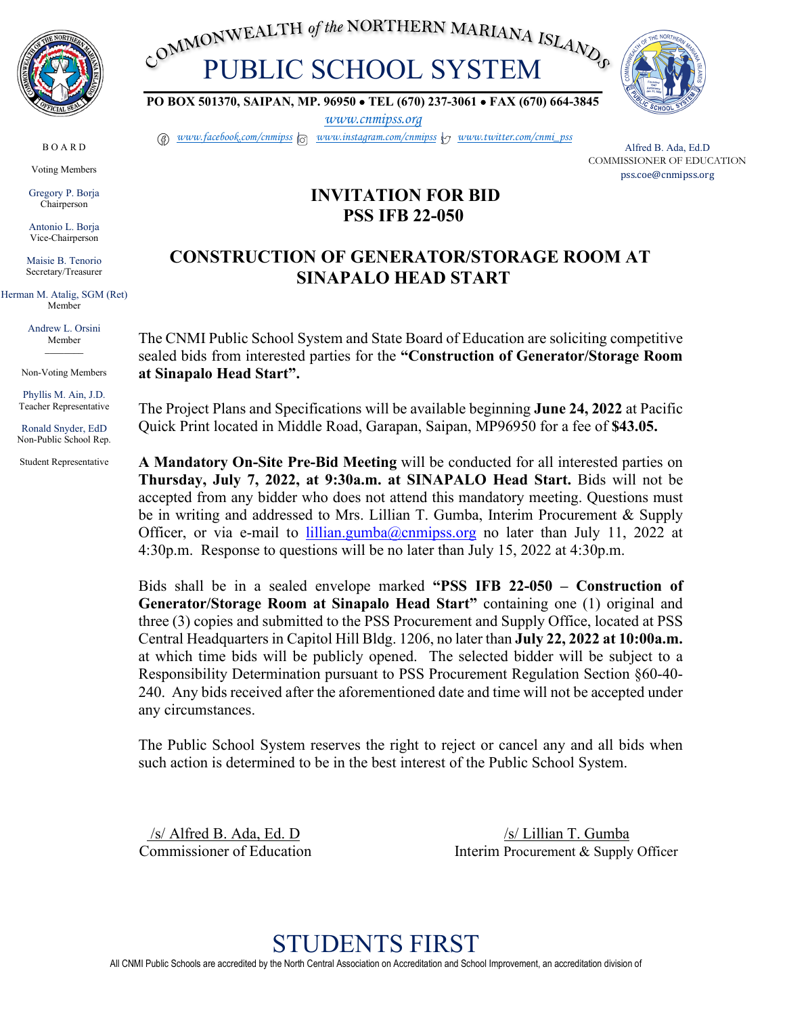

B O A R D Voting Members Gregory P. Borja Chairperson Antonio L. Borja Vice-Chairperson Maisie B. Tenorio Secretary/Treasurer Herman M. Atalig, SGM (Ret) Member Andrew L. Orsini Member *\_\_\_\_\_\_\_\_* Non-Voting Members Phyllis M. Ain, J.D. Teacher Representative Ronald Snyder, EdD Non-Public School Rep. Student Representative

COMMONWEALTH of the NORTHERN MARIANA ISLAND COMMONWEALTH of the NORTHERN MARIANA ISLAND



**PO BOX 501370, SAIPAN, MP. 96950** • **TEL (670) 237-3061** • **FAX (670) 664-3845**

*[www.cnmipss.org](http://www.cnmipss.org/)*

*[www.facebook.com/cnmipss](http://www.facebook.com/cnmipss) | [www.instagram.com/cnmipss](http://www.instagram.com/cnmipss) | [www.twitter.com/cnmi\\_pss](http://www.twitter.com/cnmi_pss)*

Alfred B. Ada, Ed.D COMMISSIONER OF EDUCATION pss.coe@cnmipss.org

# **INVITATION FOR BID PSS IFB 22-050**

# **CONSTRUCTION OF GENERATOR/STORAGE ROOM AT SINAPALO HEAD START**

The CNMI Public School System and State Board of Education are soliciting competitive sealed bids from interested parties for the **"Construction of Generator/Storage Room at Sinapalo Head Start".**

The Project Plans and Specifications will be available beginning **June 24, 2022** at Pacific Quick Print located in Middle Road, Garapan, Saipan, MP96950 for a fee of **\$43.05.**

**A Mandatory On-Site Pre-Bid Meeting** will be conducted for all interested parties on **Thursday, July 7, 2022, at 9:30a.m. at SINAPALO Head Start.** Bids will not be accepted from any bidder who does not attend this mandatory meeting. Questions must be in writing and addressed to Mrs. Lillian T. Gumba, Interim Procurement & Supply Officer, or via e-mail to [lillian.gumba@cnmipss.org](mailto:lillian.gumba@cnmipss.org) no later than July 11, 2022 at 4:30p.m. Response to questions will be no later than July 15, 2022 at 4:30p.m.

Bids shall be in a sealed envelope marked **"PSS IFB 22-050 – Construction of Generator/Storage Room at Sinapalo Head Start"** containing one (1) original and three (3) copies and submitted to the PSS Procurement and Supply Office, located at PSS Central Headquarters in Capitol Hill Bldg. 1206, no later than **July 22, 2022 at 10:00a.m.** at which time bids will be publicly opened. The selected bidder will be subject to a Responsibility Determination pursuant to PSS Procurement Regulation Section §60-40- 240. Any bids received after the aforementioned date and time will not be accepted under any circumstances.

The Public School System reserves the right to reject or cancel any and all bids when such action is determined to be in the best interest of the Public School System.

/s/ Alfred B. Ada, Ed. D /s/ Lillian T. Gumba Commissioner of Education Interim Procurement & Supply Officer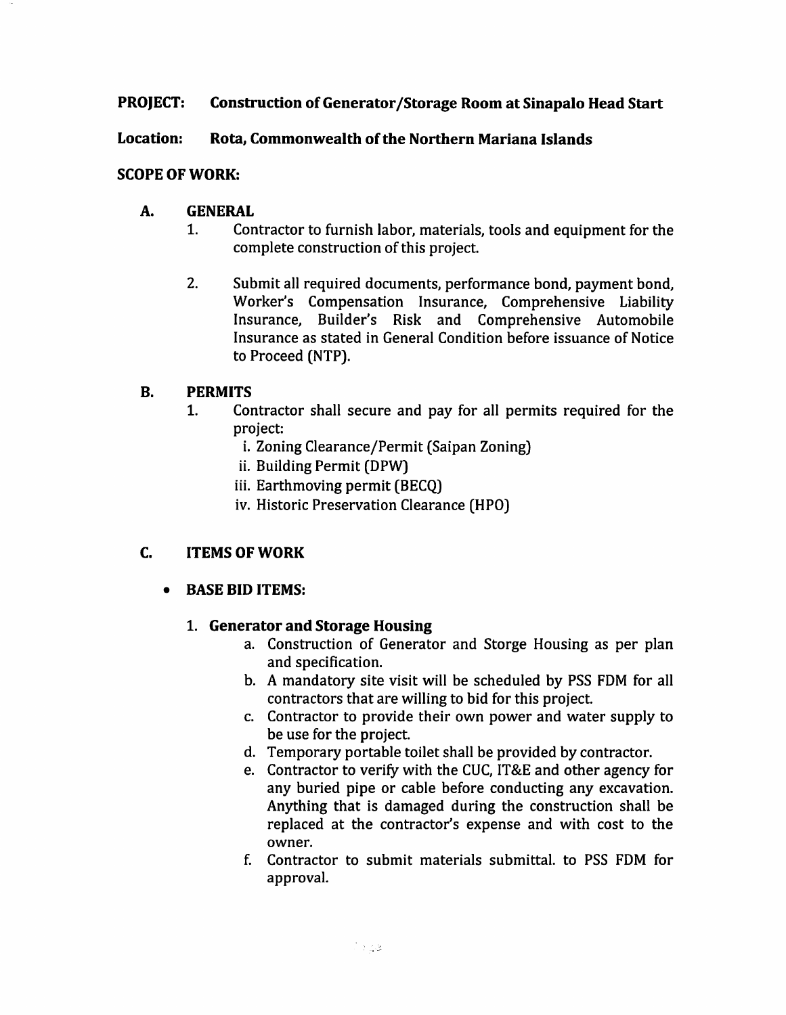### **PROJECT: Construction of Generator/Storage Room at Sinapalo Head Start**

### Location: Rota, Commonwealth of the Northern Mariana Islands

# **SCOPE OF WORK:**

### **A. GENERAL**

- $1<sub>1</sub>$ Contractor to furnish labor, materials, tools and equipment for the complete construction of this project.
- $2.$ Submit all required documents, performance bond, payment bond, Worker's Compensation Insurance, Comprehensive Liability Insurance, Builder's Risk and Comprehensive Automobile Insurance as stated in General Condition before issuance of Notice to Proceed (NTP).

### $\mathbf{B}$ . **PERMITS**

- $1<sub>1</sub>$ Contractor shall secure and pay for all permits required for the project:
	- i. Zoning Clearance/Permit (Saipan Zoning)
	- ii. Building Permit (DPW)
	- iii. Earthmoving permit (BECQ)
	- iv. Historic Preservation Clearance (HPO)

### C. **ITEMS OF WORK**

#### **BASE BID ITEMS:**  $\bullet$

# 1. Generator and Storage Housing

- a. Construction of Generator and Storge Housing as per plan and specification.
- b. A mandatory site visit will be scheduled by PSS FDM for all contractors that are willing to bid for this project.
- c. Contractor to provide their own power and water supply to be use for the project.
- d. Temporary portable toilet shall be provided by contractor.
- e. Contractor to verify with the CUC, IT&E and other agency for any buried pipe or cable before conducting any excavation. Anything that is damaged during the construction shall be replaced at the contractor's expense and with cost to the owner.
- f. Contractor to submit materials submittal, to PSS FDM for approval.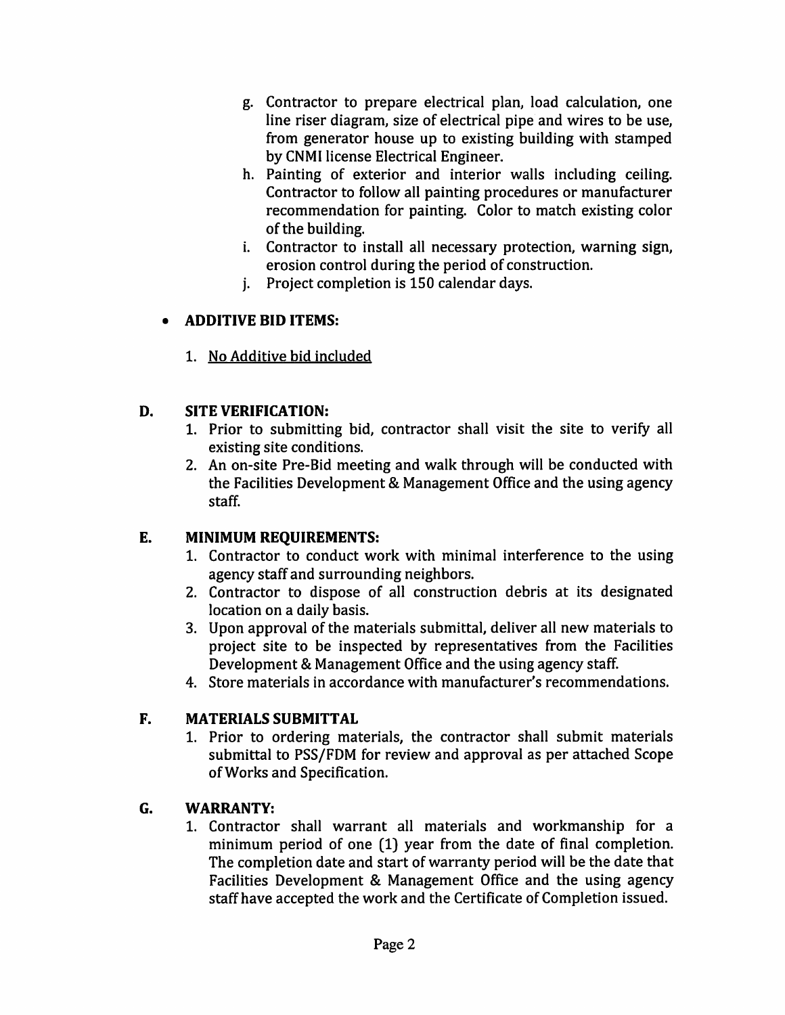- g. Contractor to prepare electrical plan, load calculation, one line riser diagram, size of electrical pipe and wires to be use, from generator house up to existing building with stamped by CNMI license Electrical Engineer.
- h. Painting of exterior and interior walls including ceiling. Contractor to follow all painting procedures or manufacturer recommendation for painting. Color to match existing color of the building.
- i. Contractor to install all necessary protection, warning sign, erosion control during the period of construction.
- *i.* Project completion is 150 calendar days.

## **ADDITIVE BID ITEMS:**  $\bullet$

1. No Additive bid included

### D. **SITE VERIFICATION:**

- 1. Prior to submitting bid, contractor shall visit the site to verify all existing site conditions.
- 2. An on-site Pre-Bid meeting and walk through will be conducted with the Facilities Development & Management Office and the using agency staff.

## E. **MINIMUM REOUIREMENTS:**

- 1. Contractor to conduct work with minimal interference to the using agency staff and surrounding neighbors.
- 2. Contractor to dispose of all construction debris at its designated location on a daily basis.
- 3. Upon approval of the materials submittal, deliver all new materials to project site to be inspected by representatives from the Facilities Development & Management Office and the using agency staff.
- 4. Store materials in accordance with manufacturer's recommendations.

## F. **MATERIALS SUBMITTAL**

1. Prior to ordering materials, the contractor shall submit materials submittal to PSS/FDM for review and approval as per attached Scope of Works and Specification.

### G. **WARRANTY:**

1. Contractor shall warrant all materials and workmanship for a minimum period of one (1) year from the date of final completion. The completion date and start of warranty period will be the date that Facilities Development & Management Office and the using agency staff have accepted the work and the Certificate of Completion issued.